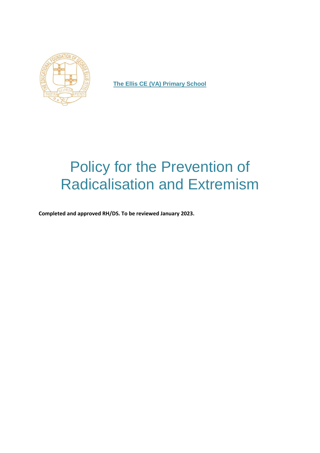

**The Ellis CE (VA) Primary School**

# Policy for the Prevention of Radicalisation and Extremism

**Completed and approved RH/DS. To be reviewed January 2023.**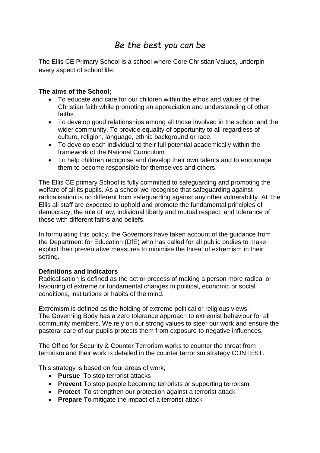# *Be the best you can be*

The Ellis CE Primary School is a school where Core Christian Values, underpin every aspect of school life.

## **The aims of the School;**

- To educate and care for our children within the ethos and values of the Christian faith while promoting an appreciation and understanding of other faiths.
- To develop good relationships among all those involved in the school and the wider community. To provide equality of opportunity to all regardless of culture, religion, language, ethnic background or race.
- To develop each individual to their full potential academically within the framework of the National Curriculum.
- To help children recognise and develop their own talents and to encourage them to become responsible for themselves and others.

The Ellis CE primary School is fully committed to safeguarding and promoting the welfare of all its pupils. As a school we recognise that safeguarding against radicalisation is no different from safeguarding against any other vulnerability*.* At The Ellis all staff are expected to uphold and promote the fundamental principles of democracy, the rule of law, individual liberty and mutual respect, and tolerance of those with different faiths and beliefs.

In formulating this policy, the Governors have taken account of the guidance from the Department for Education (DfE) who has called for all public bodies to make explicit their preventative measures to minimise the threat of extremism in their setting.

### **Definitions and Indicators**

Radicalisation is defined as the act or process of making a person more radical or favouring of extreme or fundamental changes in political, economic or social conditions, institutions or habits of the mind.

Extremism is defined as the holding of extreme political or religious views. The Governing Body has a zero tolerance approach to extremist behaviour for all community members. We rely on our strong values to steer our work and ensure the pastoral care of our pupils protects them from exposure to negative influences.

The Office for Security & Counter Terrorism works to counter the threat from terrorism and their work is detailed in the counter terrorism strategy CONTEST.

This strategy is based on four areas of work;

- **Pursue** To stop terrorist attacks
- **Prevent** To stop people becoming terrorists or supporting terrorism
- **Protect** To strengthen our protection against a terrorist attack
- **Prepare** To mitigate the impact of a terrorist attack